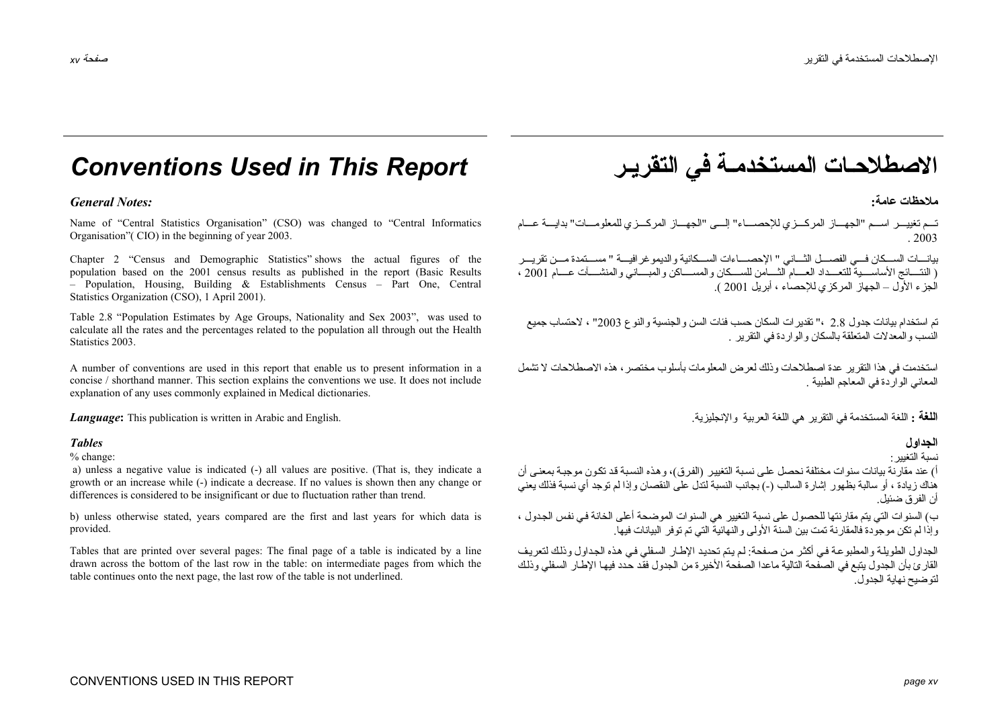# *Conventions Used in This Report* **التقريـر في المستخدمـة الاصطلاحـات**

## **عامة:** *:Notes General*

Name of "Central Statistics Organisation" (CSO) was changed to "Central Informatics Organisation"( CIO) in the beginning of year 2003.

Chapter 2 "Census and Demographic Statistics" shows the actual figures of the population based on the 2001 census results as published in the report (Basic Results – Population, Housing, Building & Establishments Census – Part One, Central Statistics Organization (CSO), 1 April 2001).

Table 2.8 "Population Estimates by Age Groups, Nationality and Sex 2003", was used to calculate all the rates and the percentages related to the population all through out the Health Statistics 2003.

A number of conventions are used in this report that enable us to present information in a concise / shorthand manner. This section explains the conventions we use. It does not include explanation of any uses commonly explained in Medical dictionaries.

*Language:* This publication is written in Arabic and English.

% change:

 a) unless a negative value is indicated (-) all values are positive. (That is, they indicate a growth or an increase while (-) indicate a decrease. If no values is shown then any change or differences is considered to be insignificant or due to fluctuation rather than trend.

b) unless otherwise stated, years compared are the first and last years for which data is provided.

Tables that are printed over several pages: The final page of a table is indicated by a line drawn across the bottom of the last row in the table: on intermediate pages from which the table continues onto the next page, the last row of the table is not underlined.

**ملاحظات**

تـم تغييـــر اســـم "الجهـــاز المركـــزي للإحصــــاء" إلـــي "الجهـــاز المركـــزي للمعلومـــات" بدايـــة عـــام . 2003

بيانــــات الســـكان فــــي الفصــــل الثــــاني " الإحصـــــاءات الســـكانية والديمو غر افيــــة " مســــتمدة مــــن تقريــــر ( النتسائج الأساســــية للتعــــداد العـــــام الثـــــامن للســــكان والمســــاني والمنشـــــأت عــــام 2001 ، الجزء الأول – الجهاز المرآزي للإحصاء ، أبريل 2001 ).

تم استخدام بيانات جدول 2.8 ،" تقديرات السكان حسب فئات السن والجنسية والنوع 2003" ، لاحتساب جميع النسب والمعدلات المتعلقة بالسكان والواردة في التقرير .

استخدمت في هذا التقرير عدة اصطلاحات وذلك لعرض المعلومات بأسلوب مختصر، هذه الاصطلاحات لا تشمل المعاني الواردة في المعاجم الطبية .

**اللغة :** اللغة المستخدمة في النقر بر هي اللغة العربية و الإنجليز ية ٍ

### **الجداول** *Tables*

نسبة التغيير:

أ) عند مقارنة بيانات سنوات مختلفة نحصل على نسبة التغيير (الفرق)، وهذه النسبة قد تكون موجبة بمعنى أن هناك زيادة ، أو سالبة بظهور إشارة السالب (-) بجانب النسبة لتدل على النقصان وإذا لم توجد أي نسبة فذلك يعني أن الفرق ضئيل.

ب) السنوات التي يتم مقارنتها للحصول على نسبة التغيير هي السنوات الموضحة أعلى الخانة في نفس الجدول ، وإذا لم تكن موجودة فالمقارنة تمت بين السنة الأولى والنهائية التي تم توفر البيانات فيها.

الجداول الطويلة والمطبوعة في أكثر من صفحة: لم يتم تحديد الإطار السفلي في هذه الجداول وذلك لتعريف القارئ بأن الجدول يتبع في الصفحة التالية ماعدا الصفحة الأخيرة من الجدول فقّد حدد فيها الإطار السفلي وذلك لتوضيح نهاية الجدول.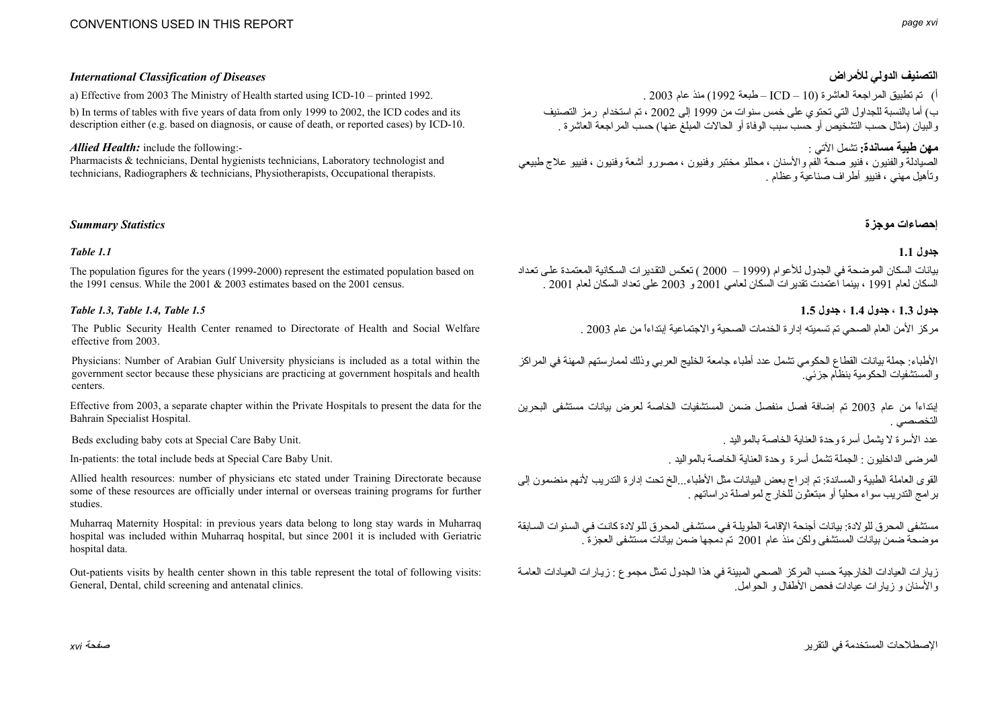# *International Classification of Diseases* **للأمراض الدولي التصنيف**

a) Effective from 2003 The Ministry of Health started using ICD-10 – printed 1992. . 2003 عام منذ) 1992 طبعة – ICD – 10) العاشرة المراجعة تطبيق تم) <sup>أ</sup>

b) In terms of tables with five years of data from only 1999 to 2002, the ICD codes and its description either (e.g. based on diagnosis, or cause of death, or reported cases) by ICD-10.

*Allied Health:* include the following:-

Pharmacists & technicians, Dental hygienists technicians, Laboratory technologist and technicians, Radiographers & technicians, Physiotherapists, Occupational therapists.

# **إحصاءات موجزة** *Statistics Summary*

### **جدول 1.1** *1.1 Table*

The population figures for the years (1999-2000) represent the estimated population based on the 1991 census. While the 2001 & 2003 estimates based on the 2001 census.

The Public Security Health Center renamed to Directorate of Health and Social Welfare effective from 2003.

Physicians: Number of Arabian Gulf University physicians is included as a total within the government sector because these physicians are practicing at government hospitals and health centers.

Effective from 2003, a separate chapter within the Private Hospitals to present the data for the Bahrain Specialist Hospital.

Beds excluding baby cots at Special Care Baby Unit.

In-patients: the total include beds at Special Care Baby Unit.

Allied health resources: number of physicians etc stated under Training Directorate because some of these resources are officially under internal or overseas training programs for further studies.

Muharraq Maternity Hospital: in previous years data belong to long stay wards in Muharraq hospital was included within Muharraq hospital, but since 2001 it is included with Geriatric hospital data.

Out-patients visits by health center shown in this table represent the total of following visits: General, Dental, child screening and antenatal clinics.

<sup>ب</sup>) أما بالنسبة للجداول التي تحتوي على خمس سنوات من <sup>1999</sup> إلى <sup>2002</sup> ، تم استخدام رمز التصنيف والبيان (مثال حسب التشخيص أو حسب سبب الوفاة أو الحالات المبلغ عنها) حسب المراجعة العاشرة .

**مهن طبية مساندة:** تشمل الآتي :

الصيادلة والفنيون ، فنيو صحة الفم والأسنان ، محللو مختبر وفنيون ، مصورو أشعة وفنيون ، فنييو علاج طبيعي وتأهيل مهني ، فنييو أطراف صناعية وعظام .

بيانات السكان الموضحة في الجدول للأعوام (1999 – 2000 ) تعكس التقدير ات السكانية المعتمدة على تعداد السكان لعام <sup>1991</sup> ، بينما اعتمدت تقديرات السكان لعامي <sup>2001</sup> <sup>و</sup> <sup>2003</sup> على تعداد السكان لعام 2001 .

**جدول 1.3 ، جدول 1.4 ، جدول 1.5** *1.5 Table 1.4, Table 1.3, Table*

مر كز الأمن العام الصحي تم تسميته إدارة الخدمات الصحية والاجتماعية إبتداءاً من عام 2003 .

الأطباء: جملة بيانات القطاع الحكومي تشمل عدد أطباء جامعة الخليج العربي وذلك لممارستهم المهنة في المراكز والمستشفيات الحكومية بنظام جزئي.

إبتداءاً من عام <sup>2003</sup> تم إضافة فصل منفصل ضمن المستشفيات الخاصة لعرض بيانات مستشفى البحرين التخصصي .

عدد الأسر ة لا يشمل أسر ة وحدة العناية الخاصية بالمو اليد .

المرضى الداخليون : الجملة تشمل أسرة وحدة العناية الخاصة بالمواليد .

القوى العاملة الطبية والمساندة: تم إدراج بعض البيانات مثل الأطباء...الخ تحت إدارة التدريب لأنهم منضمون إلى برامج التدريب سواء محلياً أو مبتعثون للخارج لمواصلة دراساتهم .

مستشفى المحرق للو لادة: بيانات أجنحة الإقامة الطويلة في مستشفى المحرق للو لادة كانت في السنوات السابقة موضحة ضمن بيانات المستشفى ولكن منذ عام <sup>2001</sup> تم دمجها ضمن بيانات مستشفى العجزة .

ز يار ات العيادات الخار جية حسب المركز الصحي المبينة في هذا الجدول تمثل مجموع : زيـار ات العيـادات العامـة والأسنان <sup>و</sup> زيارات عيادات فحص الأطفال <sup>و</sup> الحوامل.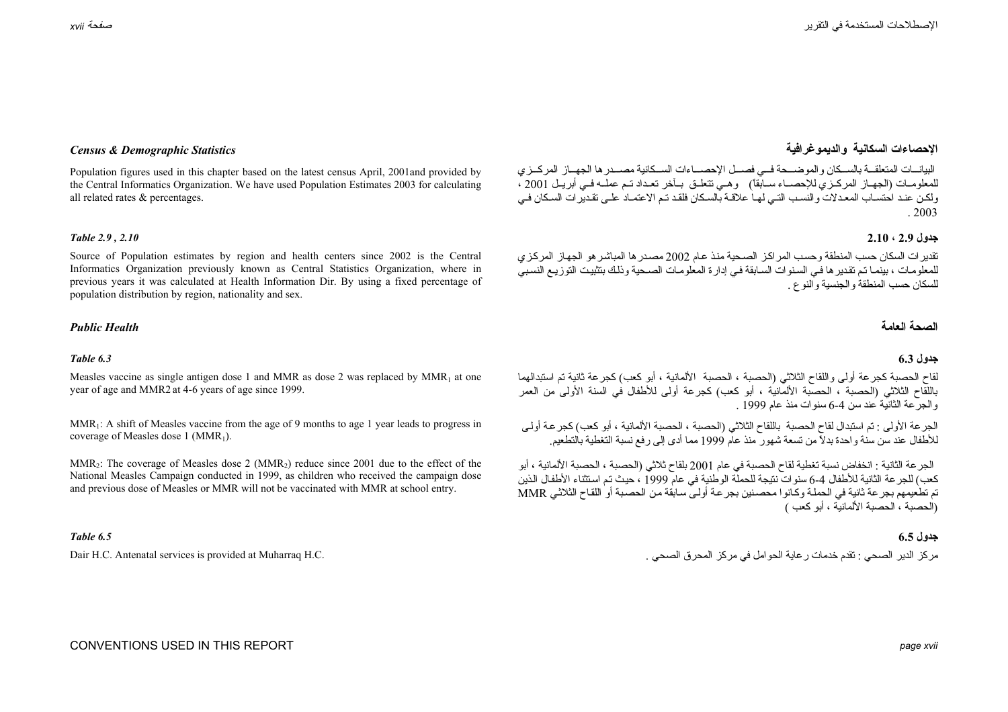Population figures used in this chapter based on the latest census April, 2001and provided by the Central Informatics Organization. We have used Population Estimates 2003 for calculating all related rates & percentages.

Source of Population estimates by region and health centers since 2002 is the Central Informatics Organization previously known as Central Statistics Organization, where in previous years it was calculated at Health Information Dir. By using a fixed percentage of population distribution by region, nationality and sex.

### **العامة** *Health Public*

### **جدول 6.3** *6.3 Table*

Measles vaccine as single antigen dose 1 and MMR as dose 2 was replaced by  $MMR_1$  at one year of age and MMR2 at 4-6 years of age since 1999.

MMR<sub>1</sub>: A shift of Measles vaccine from the age of 9 months to age 1 year leads to progress in coverage of Measles dose 1 ( $MMR_1$ ).

MMR<sub>2</sub>: The coverage of Measles dose 2 (MMR<sub>2</sub>) reduce since 2001 due to the effect of the National Measles Campaign conducted in 1999, as children who received the campaign dose and previous dose of Measles or MMR will not be vaccinated with MMR at school entry.

### **جدول 6.5** *6.5 Table*

# **الإحصاءات السكانية والديموغرافية** *Statistics Demographic & Census*

البيانسات المتعلقــة بالسـكان و الموضــحة فــي فصــل الإحصــاءات الســكانية مصــدر ها الجهــاز المركــزي للمعلومـات (الجهـاز المركـزي للإحصـاء سـابقاً) وهـي تتعلـق بـآخر تعـداد تـم عملَـه فـي أبريـل 2001 ، ولكن عند احتسـاب المعـدلات والنسـب التـي لهـا علاقـة بالسـكان فلقـد تـم الاعتمـاد علـي تقـدير ات السـكان فـي . 2003

### **جدول 2.9 ، 2.10** *2.10 , 2.9 Table*

تقدير ات السكان حسب المنطقة وحسب المراكز الصحية منذ عام 2002 مصدر ها المباشر هو الجهاز المركزي للمعلومات ، بينمـا تم تقديرها فـي السنوات السـابقة فـي إدارة المعلومـات الصـحية وذلك بتثبيت التوزيـم النسبيّ للسكان حسب المنطقة والجنسية والنوع .

### **الصحة**

لقاح الحصبة كجر عة أولى واللقاح الثلاثي (الحصبة ، الحصبة -الألمانية ، أبو كعب) كجر عة ثانية تم استبدالهما باللقاح الثلاثي (الحصبة ، الحصبة الألمانية ، أبو آعب) آجرعة أولى للأطفال في السنة الأولى من العمر والجرعة الثانية عند سن 6-4 سنوات منذ عام 1999 .

الجرعة الأولى : تم استبدال لقاح الحصبة باللقاح الثلاثي (الحصبة ، الحصبة الألمانية ، أبو كعب) كجرعة أولى للأطفال عند سن سنة واحدة بدلاً من تسعة شهور منذ عام <sup>1999</sup> مما أدى إلى رفع نسبة التغطية بالتطعيم.

الجرعة الثانية : انخفاض نسبة تغطية لقاح الحصبة في عام <sup>2001</sup> بلقاح ثلاثي (الحصبة ، الحصبة الألمانية ، أبو حب<br>كعب) للجر عة الثانية للأطفال 4-6 سنو ات نتيجة للحملة الوطنية في عام 1999 ، حيث تم استثناء الأطفال الذين تم تطعيمهم بجر عة ثانية في الحملة وكانو ا محصنين بجر عة أولي سابقة من الحصبة أو اللقاح الثلاثي MMR (الحصبة ، الحصبة الألمانية ، أبو كعب )

مركز الدير الصحي : تقدم خدمات رعاية الحوامل في مركز المحرق الصحي . . .Dair H.C. Antenatal services is provided at Muharraq H.C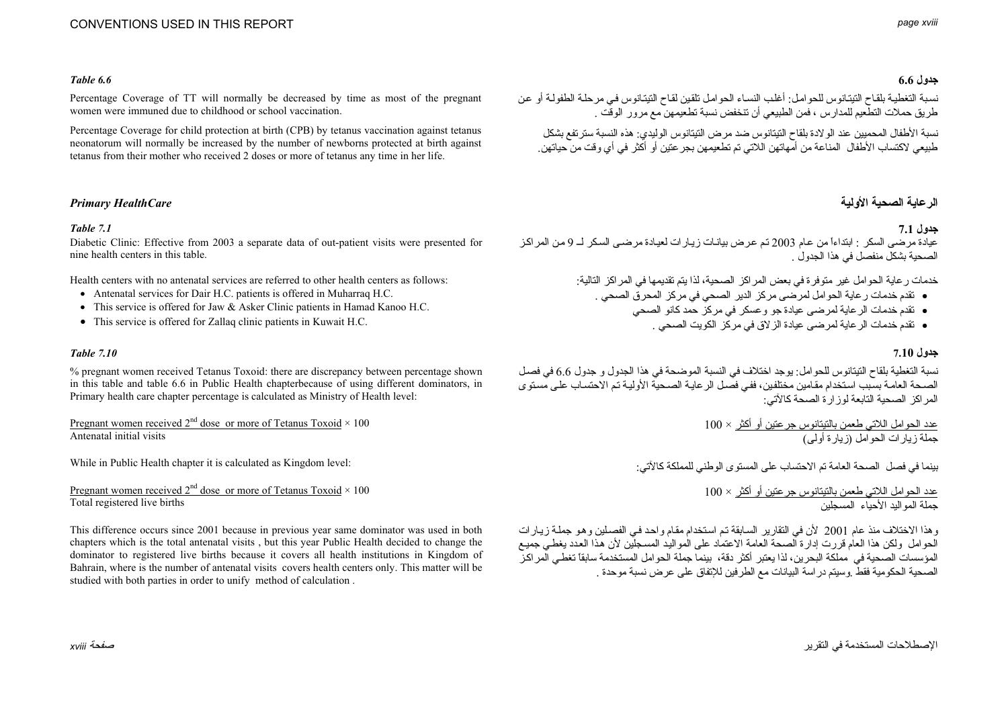# CONVENTIONS USED IN THIS REPORT

### **جدول 6.6** *6.6 Table*

Percentage Coverage of TT will normally be decreased by time as most of the pregnant women were immuned due to childhood or school vaccination.

Percentage Coverage for child protection at birth (CPB) by tetanus vaccination against tetanus neonatorum will normally be increased by the number of newborns protected at birth against tetanus from their mother who received 2 doses or more of tetanus any time in her life.

Diabetic Clinic: Effective from 2003 a separate data of out-patient visits were presented for nine health centers in this table.

Health centers with no antenatal services are referred to other health centers as follows:

- Antenatal services for Dair H.C. patients is offered in Muharraq H.C.
- This service is offered for Jaw & Asker Clinic patients in Hamad Kanoo H.C.
- This service is offered for Zallaq clinic patients in Kuwait H.C.

### **جدول 7.10** *7.10 Table*

% pregnant women received Tetanus Toxoid: there are discrepancy between percentage shown in this table and table 6.6 in Public Health chapterbecause of using different dominators, in Primary health care chapter percentage is calculated as Ministry of Health level:

Pregnant women received  $2<sup>nd</sup>$  dose or more of Tetanus Toxoid  $\times$  100 Antenatal initial visits

While in Public Health chapter it is calculated as Kingdom level:

Pregnant women received  $2<sup>nd</sup>$  dose or more of Tetanus Toxoid  $\times$  100 Total registered live births

This difference occurs since 2001 because in previous year same dominator was used in both chapters which is the total antenatal visits , but this year Public Health decided to change the dominator to registered live births because it covers all health institutions in Kingdom of Bahrain, where is the number of antenatal visits covers health centers only. This matter will be studied with both parties in order to unify method of calculation .

نسبة التغطيـة بلقـاح التيتـانوس للحوامـل: أغلب النسـاء الحوامـل تلقين لقـاح التيتـانوس فـي مرحلـة الطفولـة أو عن طريق حملات التطعيم للمدارس ، فمن الطبيعي أن تنخفض نسبة تطعيمهن مع مرور الوقت .

نسبة الأطفال المحميين عند الولادة بلقاح التيتانوس ضد مرض التيتانوس الوليدي: هذه النسبة سترتفع بشكل طبيعي لاآتساب الأطفال المناعة من أمهاتهن اللاتي تم تطعيمهن بجرعتين أو أآثر في أي وقت من حياتهن.

# **الرعاية الصحية الأولية** *HealthCare Primary*

### **جدول 7.1** *7.1 Table*

عيادة مرضى السكر : ابتداءاً من عام 2003 تم عرض بيانـات زيـار ات لعيـادة مرضـى السكر لــ 9 من المراكز الصحية بشكل منفصل في هذا الجدول .

خدمات ر عاية الحوامل غير متوفرة في بعض المراكز الصحية، لذا يتم تقديمها في المراكز التالية:

- تقدم خدمات رعاية الحوامل لمرضى مرآز الدير الصحي في مرآز المحرق الصحي .
	- تقدم خدمات الرعاية لمرضى عيادة جو وعسكر في مرآز حمد آانو الصحي
		- تقدم خدمات الرعاية لمرضى عيادة الزلاق في مرآز الكويت الصحي .

نسبة التغطية بلقاح التيتانوس للحوامل: يوجد اختلاف في النسبة الموضحة في هذا الجدول و جدول 6.6 في فصل الصحة العامة بسبب استخدام مقامين مختلفين، ففي فصل الرعايـة الصحية الأوليـة تم الاحتساب على مستوى المر اكز الصحية التابعة لوز ار ة الصحة كالآتي:

> عدد الحوامل اللاتي طعمن بالتيتانوس جرعتين أو أآثر × 100 جملة زيارات الحوامل (زيارة أولى)

بينما في فصل الصحة العامة تم الاحتساب على المستوى الوطني للمملكة كالآتي:

عدد الحوامل اللاتي طعمن بالتيتانوس جر عتين أو أكثر × 100 جملة المواليد الأحياء المسجلين

وهذا الاختلاف منذ عام 2001 لأن في التقارير السابقة تم استخدام مقام واحد في الفصلين وهو جملية زيبار ات الحوامل ولكن هذا العام قررت إدارة الصحة العامة الاعتماد على المواليد المسجلين لأن هذا العدد يغطي جميع المؤسسات الصحية في مملكة البحرين، لذا يعتبر أكثر دقة، بينما جملة الحوامل المستخدمة سابقاً تغطي الّمراكز الصحية الحكومية فقط .وسيتم دراسة البيانات مع الطرفين للإتفاق على عرض نسبة موحدة .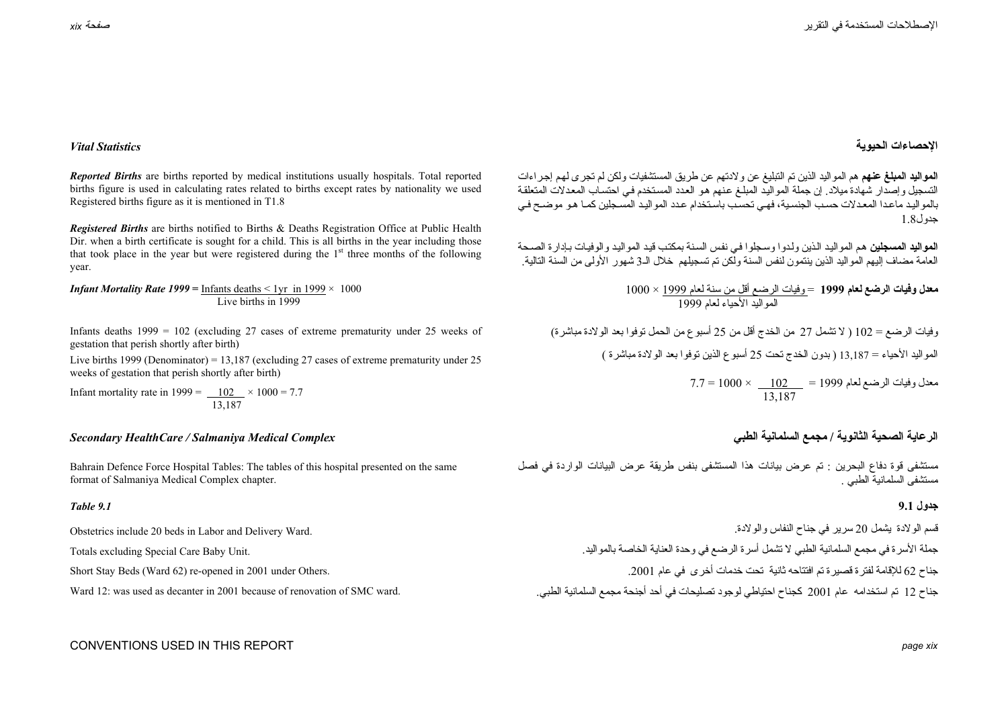## **الإحصاءات الحيوية** *Statistics Vital*

**المواليد المبلغ عنهم** هم المواليد الذين تم التبليغ عن ولادتهم عن طريق المستشفيات ولكن لم تجرى لهѧم إجѧراءات التسجيل وإصدار شهادة ميلاد. إن جملة المواليد المبلـغ عنهم هو العدد المستخدم فـي احتساب المعدلات المتعلقة بالمواليد ماعدا المعدلات حسب الجنسية، فهي تحسب باستخدام عدد المواليد المسجلين كمـا هـو موضـح فـي جدول1.8

**المواليد المسجلين** هم المواليد الذين ولدوا وسجلوا في نفس السنة بمكتب قيد المواليد والوفيات بإدار ة الصحة العامة مضاف إليهم المواليد الذين ينتمون لنفس السنة ولكن تم تسجيلهم خلال الـ<sup>3</sup> شهور الأولى من السنة التالية.

> **معدل وفيات الرضع لعام <sup>1999</sup>**<sup>=</sup> وفيات الرضع أقل من سنة لعام 1999 × 1000 المواليد الأحياء لعام <sup>1999</sup>

وفيات الرضع = 102 ( لا تشمل <sup>27</sup> من الخدج أقل من <sup>25</sup> أسبوع من الحمل توفوا بعد الولادة مباشرة) المواليد الأحياء = 13,187 ( بدون الخدج تحت <sup>25</sup> أسبوع الذين توفوا بعد الولادة مباشرة )

> $7.7 = 1000 \times \begin{array}{c} 102 \end{array} = 1999$  معدل وفيات الرضع لعام 13,187

مستشفى قوة دفاع البحرين : تم عرض بيانات هذا المستشفى بنفس طريقة عرض البيانات الواردة في فصل مستشفى السلمانية الطبي .

قسم الولادة يشمل <sup>20</sup> سرير في جناح النفاس والولادة. جملة الأسرة في مجمع السلمانية الطبي لا تشمل أسرة الرضع في وحدة العناية الخاصة بالمواليد. جناح 62 للإقامة لفتر ة قصير ة تم افتتاحه ثانية تحت خدمات أخر ي في عام 2001. جناح <sup>12</sup> تم استخدامه عام <sup>2001</sup> آجناح احتياطي لوجود تصليحات في أحد أجنحة مجمع السلمانية الطبي.

*Reported Births* are births reported by medical institutions usually hospitals. Total reported births figure is used in calculating rates related to births except rates by nationality we used Registered births figure as it is mentioned in T1.8

*Registered Births* are births notified to Births & Deaths Registration Office at Public Health Dir. when a birth certificate is sought for a child. This is all births in the year including those that took place in the year but were registered during the  $1<sup>st</sup>$  three months of the following year.

*Infant Mortality Rate 1999* = Infants deaths  $\leq 1$ yr in 1999  $\times$  1000 Live births in 1999

Infants deaths 1999 = 102 (excluding 27 cases of extreme prematurity under 25 weeks of gestation that perish shortly after birth)

Live births 1999 (Denominator) = 13,187 (excluding 27 cases of extreme prematurity under 25 weeks of gestation that perish shortly after birth)

Infant mortality rate in 1999 =  $\underline{102} \times 1000 = 7.7$ 13,187

# **الرعاية الصحية الثانوية / مجمع السلمانية الطبي** *Complex Medical Salmaniya / HealthCare Secondary*

Bahrain Defence Force Hospital Tables: The tables of this hospital presented on the same format of Salmaniya Medical Complex chapter.

### **جدول 9.1** *9.1 Table*

Obstetrics include 20 beds in Labor and Delivery Ward.

Totals excluding Special Care Baby Unit.

Short Stay Beds (Ward 62) re-opened in 2001 under Others.

Ward 12: was used as decanter in 2001 because of renovation of SMC ward.

# CONVENTIONS USED IN THIS REPORT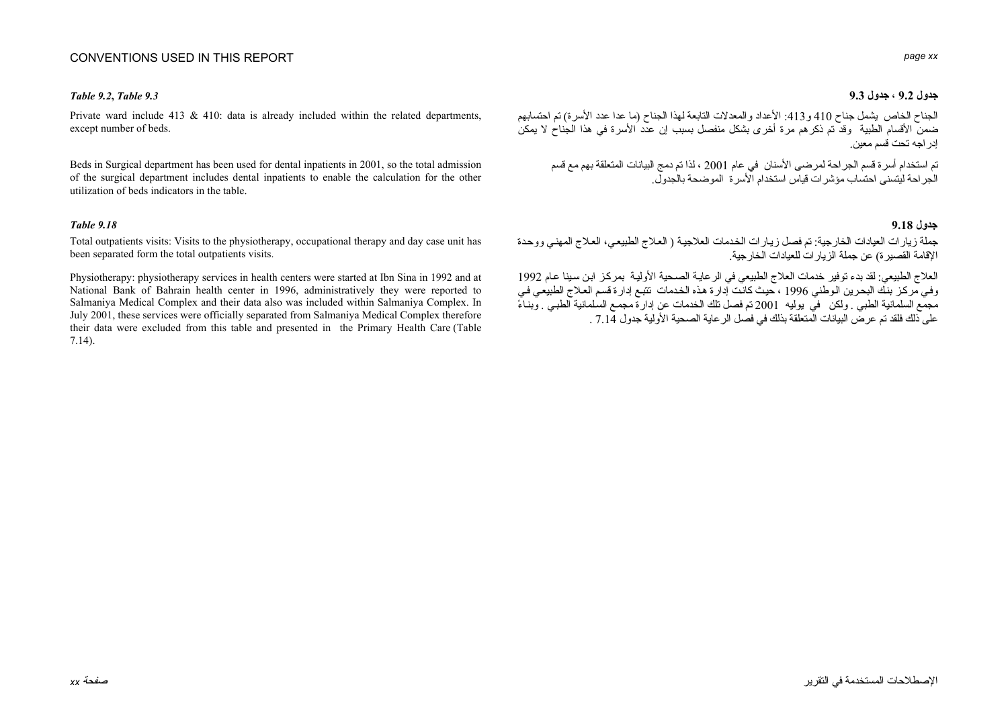## CONVENTIONS USED IN THIS REPORT

Private ward include 413  $\&$  410: data is already included within the related departments, except number of beds.

Beds in Surgical department has been used for dental inpatients in 2001, so the total admission of the surgical department includes dental inpatients to enable the calculation for the other utilization of beds indicators in the table.

Total outpatients visits: Visits to the physiotherapy, occupational therapy and day case unit has been separated form the total outpatients visits.

Physiotherapy: physiotherapy services in health centers were started at Ibn Sina in 1992 and at National Bank of Bahrain health center in 1996, administratively they were reported to Salmaniya Medical Complex and their data also was included within Salmaniya Complex. In July 2001, these services were officially separated from Salmaniya Medical Complex therefore their data were excluded from this table and presented in the Primary Health Care (Table 7.14).

### *page xx*

### **جدول 9.2 ، جدول 9.3** *9.3 Table**9.2***,** *Table*

الجناح الخاص يشمل جناح <sup>410</sup> <sup>و</sup>:413 الأعداد والمعدلات التابعة لهذا الجناح (ما عدا عدد الأسرة) تم احتسابهم ضمن الأقسام الطبية وقد تم ذكر هم مرة أخرى بشكل منفصل بسبب إن عدد الأسرة في هذا الجناح لا يمكن إدراجه تحت قسم معين.

تم استخدام أسرة قسم الجراحة لمرضى الأسنان في عام <sup>2001</sup> ، لذا تم دمج البيانات المتعلقة بهم مع قسم الجراحة ليتسنى احتساب مؤشرات قياس استخدام الأسرة الموضحة بالجدول.

### **جدول 9.18** *9.18 Table*

جملة زيارات العيادات الخارجية: تم فصل زيارات الخدمات العلاجية ( العلاج الطبيعي، العلاج المهني ووحدة الإقامة القصيرة) عن جملة الزيارات للعيادات الخارجية.

العلاج الطبيعي: لقد بدء توفير خدمات العلاج الطبيعي في الر عايـة الصـحية الأوليـة بمركـز ابـن سـينا عـام 1992 وفي مركز بنك البحرين الوطني 1996 ، حيث كانت إدارة هذه الخدمات تتبع إدارة قسم العلاج الطبيعي في مجمع السلمانية الطبي . ولكن في يوليه <sup>2001</sup> تم فصل تلك الخدمات عن إدارة مجمѧع السѧلمانية الطبѧي . وبنѧاءً على ذلك فلقد تم عرض البيانات المتعلقة بذلك في فصل الرعاية الصحية الأولية جدول 7.14 .